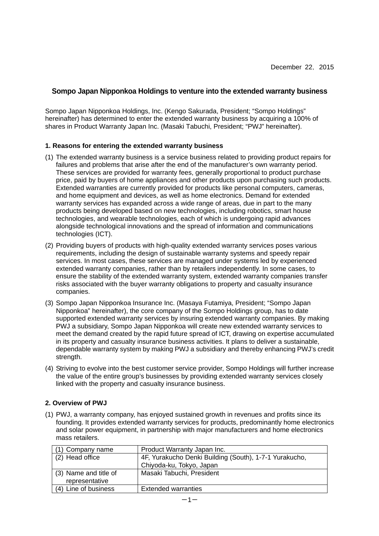# **Sompo Japan Nipponkoa Holdings to venture into the extended warranty business**

Sompo Japan Nipponkoa Holdings, Inc. (Kengo Sakurada, President; "Sompo Holdings" hereinafter) has determined to enter the extended warranty business by acquiring a 100% of shares in Product Warranty Japan Inc. (Masaki Tabuchi, President; "PWJ" hereinafter).

#### **1. Reasons for entering the extended warranty business**

- (1) The extended warranty business is a service business related to providing product repairs for failures and problems that arise after the end of the manufacturer's own warranty period. These services are provided for warranty fees, generally proportional to product purchase price, paid by buyers of home appliances and other products upon purchasing such products. Extended warranties are currently provided for products like personal computers, cameras, and home equipment and devices, as well as home electronics. Demand for extended warranty services has expanded across a wide range of areas, due in part to the many products being developed based on new technologies, including robotics, smart house technologies, and wearable technologies, each of which is undergoing rapid advances alongside technological innovations and the spread of information and communications technologies (ICT).
- (2) Providing buyers of products with high-quality extended warranty services poses various requirements, including the design of sustainable warranty systems and speedy repair services. In most cases, these services are managed under systems led by experienced extended warranty companies, rather than by retailers independently. In some cases, to ensure the stability of the extended warranty system, extended warranty companies transfer risks associated with the buyer warranty obligations to property and casualty insurance companies.
- (3) Sompo Japan Nipponkoa Insurance Inc. (Masaya Futamiya, President; "Sompo Japan Nipponkoa" hereinafter), the core company of the Sompo Holdings group, has to date supported extended warranty services by insuring extended warranty companies. By making PWJ a subsidiary, Sompo Japan Nipponkoa will create new extended warranty services to meet the demand created by the rapid future spread of ICT, drawing on expertise accumulated in its property and casualty insurance business activities. It plans to deliver a sustainable, dependable warranty system by making PWJ a subsidiary and thereby enhancing PWJ's credit strength.
- (4) Striving to evolve into the best customer service provider, Sompo Holdings will further increase the value of the entire group's businesses by providing extended warranty services closely linked with the property and casualty insurance business.

### **2. Overview of PWJ**

(1) PWJ, a warranty company, has enjoyed sustained growth in revenues and profits since its founding. It provides extended warranty services for products, predominantly home electronics and solar power equipment, in partnership with major manufacturers and home electronics mass retailers.

| (1) Company name      | Product Warranty Japan Inc.                            |
|-----------------------|--------------------------------------------------------|
| (2) Head office       | 4F, Yurakucho Denki Building (South), 1-7-1 Yurakucho, |
|                       | Chiyoda-ku, Tokyo, Japan                               |
| (3) Name and title of | Masaki Tabuchi, President                              |
| representative        |                                                        |
| (4) Line of business  | <b>Extended warranties</b>                             |